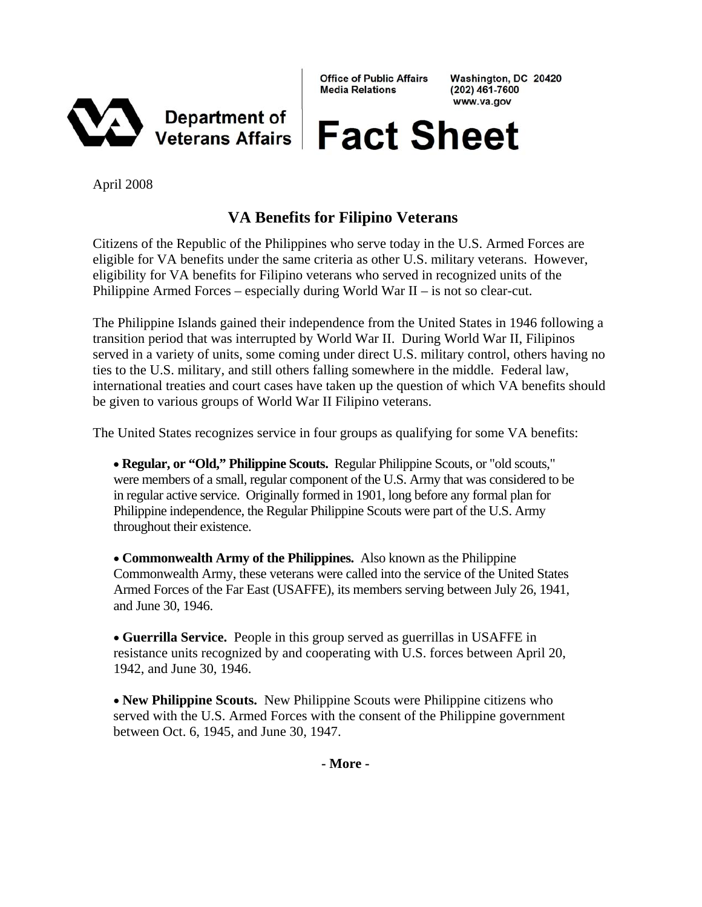

**Office of Public Affairs Media Relations** 

Washington, DC 20420  $(202)$  461-7600 www.va.gov

# **Fact Sheet**

April 2008

# **VA Benefits for Filipino Veterans**

Citizens of the Republic of the Philippines who serve today in the U.S. Armed Forces are eligible for VA benefits under the same criteria as other U.S. military veterans. However, eligibility for VA benefits for Filipino veterans who served in recognized units of the Philippine Armed Forces – especially during World War II – is not so clear-cut.

The Philippine Islands gained their independence from the United States in 1946 following a transition period that was interrupted by World War II. During World War II, Filipinos served in a variety of units, some coming under direct U.S. military control, others having no ties to the U.S. military, and still others falling somewhere in the middle. Federal law, international treaties and court cases have taken up the question of which VA benefits should be given to various groups of World War II Filipino veterans.

The United States recognizes service in four groups as qualifying for some VA benefits:

• **Regular, or "Old," Philippine Scouts.** Regular Philippine Scouts, or "old scouts," were members of a small, regular component of the U.S. Army that was considered to be in regular active service. Originally formed in 1901, long before any formal plan for Philippine independence, the Regular Philippine Scouts were part of the U.S. Army throughout their existence.

• **Commonwealth Army of the Philippines.** Also known as the Philippine Commonwealth Army, these veterans were called into the service of the United States Armed Forces of the Far East (USAFFE), its members serving between July 26, 1941, and June 30, 1946.

• **Guerrilla Service.** People in this group served as guerrillas in USAFFE in resistance units recognized by and cooperating with U.S. forces between April 20, 1942, and June 30, 1946.

• **New Philippine Scouts.** New Philippine Scouts were Philippine citizens who served with the U.S. Armed Forces with the consent of the Philippine government between Oct. 6, 1945, and June 30, 1947.

**- More -**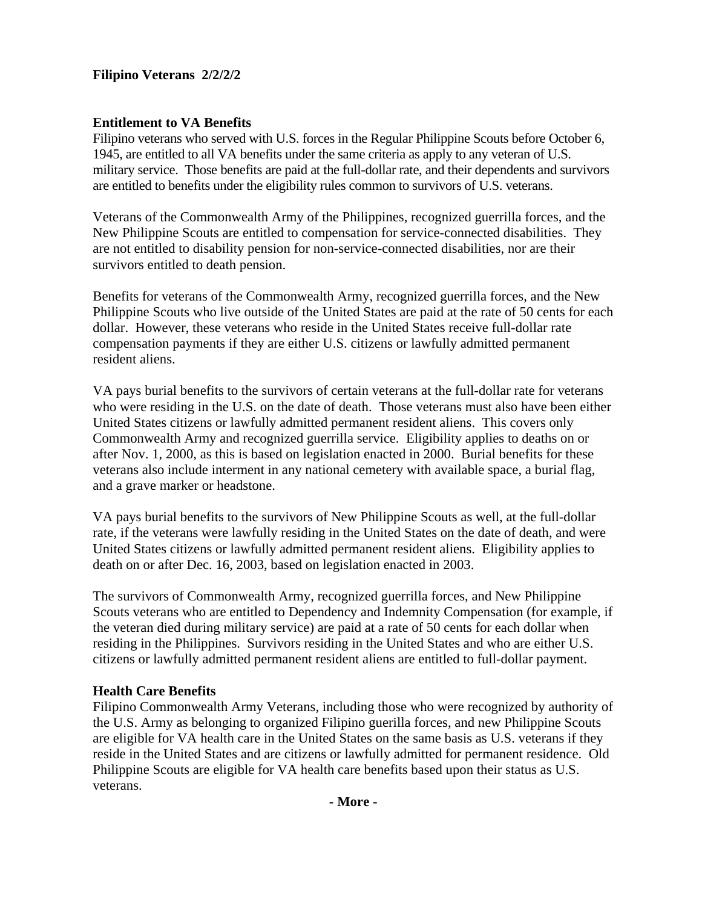## **Filipino Veterans 2/2/2/2**

### **Entitlement to VA Benefits**

Filipino veterans who served with U.S. forces in the Regular Philippine Scouts before October 6, 1945, are entitled to all VA benefits under the same criteria as apply to any veteran of U.S. military service. Those benefits are paid at the full-dollar rate, and their dependents and survivors are entitled to benefits under the eligibility rules common to survivors of U.S. veterans.

Veterans of the Commonwealth Army of the Philippines, recognized guerrilla forces, and the New Philippine Scouts are entitled to compensation for service-connected disabilities. They are not entitled to disability pension for non-service-connected disabilities, nor are their survivors entitled to death pension.

Benefits for veterans of the Commonwealth Army, recognized guerrilla forces, and the New Philippine Scouts who live outside of the United States are paid at the rate of 50 cents for each dollar. However, these veterans who reside in the United States receive full-dollar rate compensation payments if they are either U.S. citizens or lawfully admitted permanent resident aliens.

VA pays burial benefits to the survivors of certain veterans at the full-dollar rate for veterans who were residing in the U.S. on the date of death. Those veterans must also have been either United States citizens or lawfully admitted permanent resident aliens. This covers only Commonwealth Army and recognized guerrilla service. Eligibility applies to deaths on or after Nov. 1, 2000, as this is based on legislation enacted in 2000. Burial benefits for these veterans also include interment in any national cemetery with available space, a burial flag, and a grave marker or headstone.

VA pays burial benefits to the survivors of New Philippine Scouts as well, at the full-dollar rate, if the veterans were lawfully residing in the United States on the date of death, and were United States citizens or lawfully admitted permanent resident aliens. Eligibility applies to death on or after Dec. 16, 2003, based on legislation enacted in 2003.

The survivors of Commonwealth Army, recognized guerrilla forces, and New Philippine Scouts veterans who are entitled to Dependency and Indemnity Compensation (for example, if the veteran died during military service) are paid at a rate of 50 cents for each dollar when residing in the Philippines. Survivors residing in the United States and who are either U.S. citizens or lawfully admitted permanent resident aliens are entitled to full-dollar payment.

#### **Health Care Benefits**

Filipino Commonwealth Army Veterans, including those who were recognized by authority of the U.S. Army as belonging to organized Filipino guerilla forces, and new Philippine Scouts are eligible for VA health care in the United States on the same basis as U.S. veterans if they reside in the United States and are citizens or lawfully admitted for permanent residence. Old Philippine Scouts are eligible for VA health care benefits based upon their status as U.S. veterans.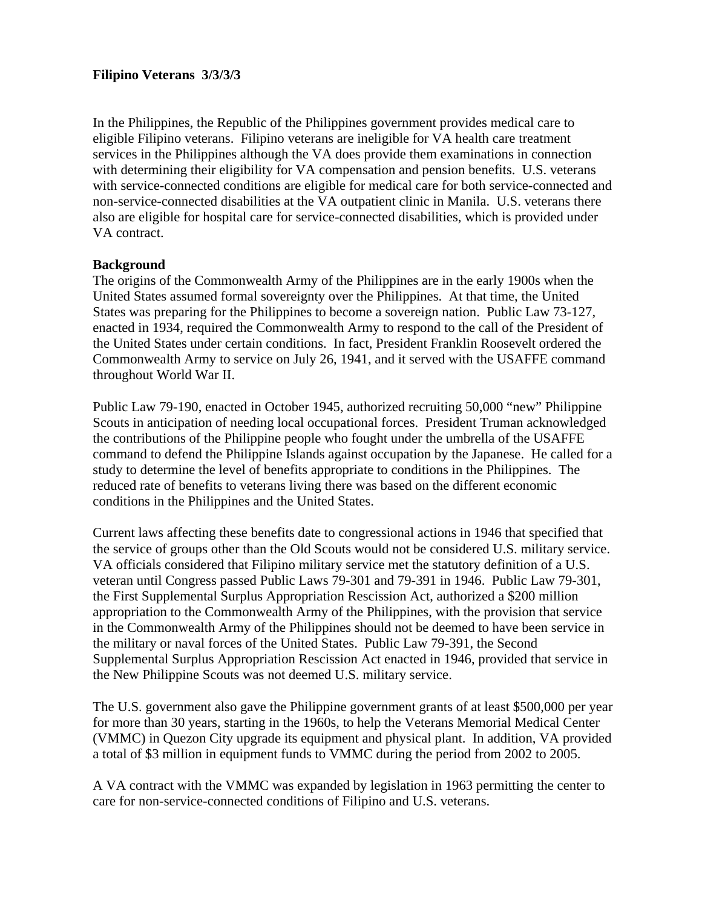#### **Filipino Veterans 3/3/3/3**

In the Philippines, the Republic of the Philippines government provides medical care to eligible Filipino veterans. Filipino veterans are ineligible for VA health care treatment services in the Philippines although the VA does provide them examinations in connection with determining their eligibility for VA compensation and pension benefits. U.S. veterans with service-connected conditions are eligible for medical care for both service-connected and non-service-connected disabilities at the VA outpatient clinic in Manila. U.S. veterans there also are eligible for hospital care for service-connected disabilities, which is provided under VA contract.

#### **Background**

The origins of the Commonwealth Army of the Philippines are in the early 1900s when the United States assumed formal sovereignty over the Philippines. At that time, the United States was preparing for the Philippines to become a sovereign nation. Public Law 73-127, enacted in 1934, required the Commonwealth Army to respond to the call of the President of the United States under certain conditions. In fact, President Franklin Roosevelt ordered the Commonwealth Army to service on July 26, 1941, and it served with the USAFFE command throughout World War II.

Public Law 79-190, enacted in October 1945, authorized recruiting 50,000 "new" Philippine Scouts in anticipation of needing local occupational forces. President Truman acknowledged the contributions of the Philippine people who fought under the umbrella of the USAFFE command to defend the Philippine Islands against occupation by the Japanese. He called for a study to determine the level of benefits appropriate to conditions in the Philippines. The reduced rate of benefits to veterans living there was based on the different economic conditions in the Philippines and the United States.

Current laws affecting these benefits date to congressional actions in 1946 that specified that the service of groups other than the Old Scouts would not be considered U.S. military service. VA officials considered that Filipino military service met the statutory definition of a U.S. veteran until Congress passed Public Laws 79-301 and 79-391 in 1946. Public Law 79-301, the First Supplemental Surplus Appropriation Rescission Act, authorized a \$200 million appropriation to the Commonwealth Army of the Philippines, with the provision that service in the Commonwealth Army of the Philippines should not be deemed to have been service in the military or naval forces of the United States. Public Law 79-391, the Second Supplemental Surplus Appropriation Rescission Act enacted in 1946, provided that service in the New Philippine Scouts was not deemed U.S. military service.

The U.S. government also gave the Philippine government grants of at least \$500,000 per year for more than 30 years, starting in the 1960s, to help the Veterans Memorial Medical Center (VMMC) in Quezon City upgrade its equipment and physical plant. In addition, VA provided a total of \$3 million in equipment funds to VMMC during the period from 2002 to 2005.

A VA contract with the VMMC was expanded by legislation in 1963 permitting the center to care for non-service-connected conditions of Filipino and U.S. veterans.